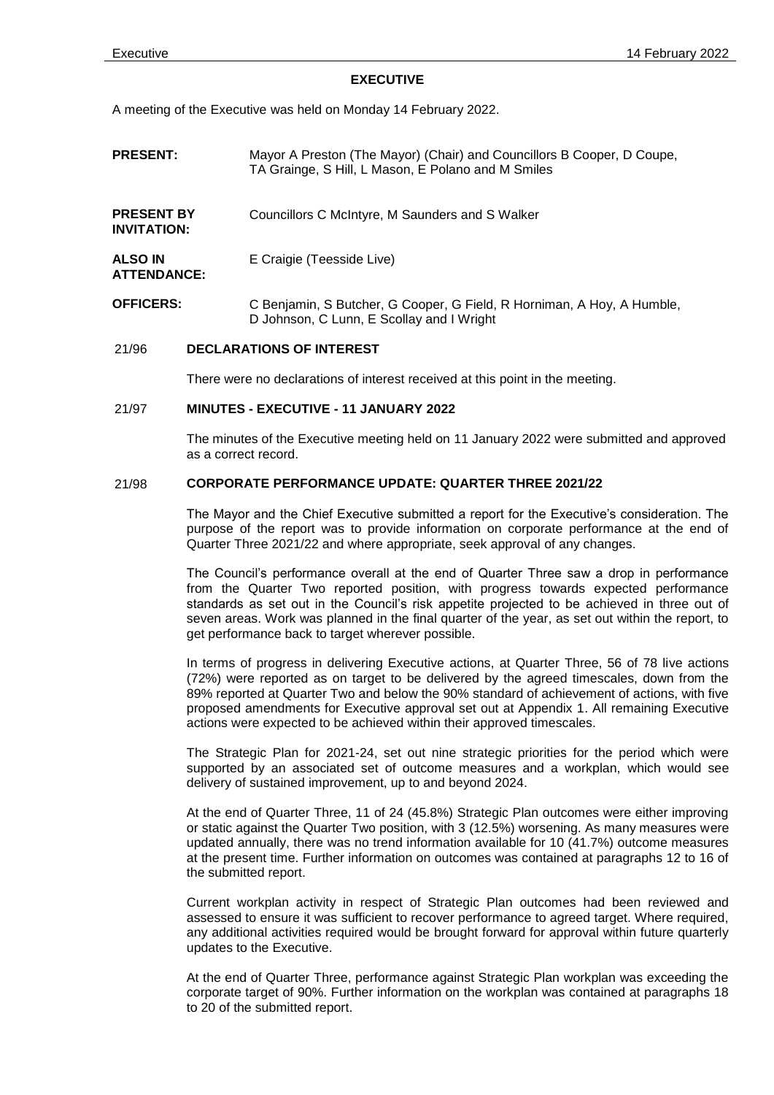#### **EXECUTIVE**

A meeting of the Executive was held on Monday 14 February 2022.

- **PRESENT:** Mayor A Preston (The Mayor) (Chair) and Councillors B Cooper, D Coupe, TA Grainge, S Hill, L Mason, E Polano and M Smiles
- **PRESENT BY INVITATION:** Councillors C McIntyre, M Saunders and S Walker
- **ALSO IN ATTENDANCE:** E Craigie (Teesside Live)
- **OFFICERS:** C Benjamin, S Butcher, G Cooper, G Field, R Horniman, A Hoy, A Humble, D Johnson, C Lunn, E Scollay and I Wright

# 21/96 **DECLARATIONS OF INTEREST**

There were no declarations of interest received at this point in the meeting.

## 21/97 **MINUTES - EXECUTIVE - 11 JANUARY 2022**

The minutes of the Executive meeting held on 11 January 2022 were submitted and approved as a correct record.

# 21/98 **CORPORATE PERFORMANCE UPDATE: QUARTER THREE 2021/22**

The Mayor and the Chief Executive submitted a report for the Executive's consideration. The purpose of the report was to provide information on corporate performance at the end of Quarter Three 2021/22 and where appropriate, seek approval of any changes.

The Council's performance overall at the end of Quarter Three saw a drop in performance from the Quarter Two reported position, with progress towards expected performance standards as set out in the Council's risk appetite projected to be achieved in three out of seven areas. Work was planned in the final quarter of the year, as set out within the report, to get performance back to target wherever possible.

In terms of progress in delivering Executive actions, at Quarter Three, 56 of 78 live actions (72%) were reported as on target to be delivered by the agreed timescales, down from the 89% reported at Quarter Two and below the 90% standard of achievement of actions, with five proposed amendments for Executive approval set out at Appendix 1. All remaining Executive actions were expected to be achieved within their approved timescales.

The Strategic Plan for 2021-24, set out nine strategic priorities for the period which were supported by an associated set of outcome measures and a workplan, which would see delivery of sustained improvement, up to and beyond 2024.

At the end of Quarter Three, 11 of 24 (45.8%) Strategic Plan outcomes were either improving or static against the Quarter Two position, with 3 (12.5%) worsening. As many measures were updated annually, there was no trend information available for 10 (41.7%) outcome measures at the present time. Further information on outcomes was contained at paragraphs 12 to 16 of the submitted report.

Current workplan activity in respect of Strategic Plan outcomes had been reviewed and assessed to ensure it was sufficient to recover performance to agreed target. Where required, any additional activities required would be brought forward for approval within future quarterly updates to the Executive.

At the end of Quarter Three, performance against Strategic Plan workplan was exceeding the corporate target of 90%. Further information on the workplan was contained at paragraphs 18 to 20 of the submitted report.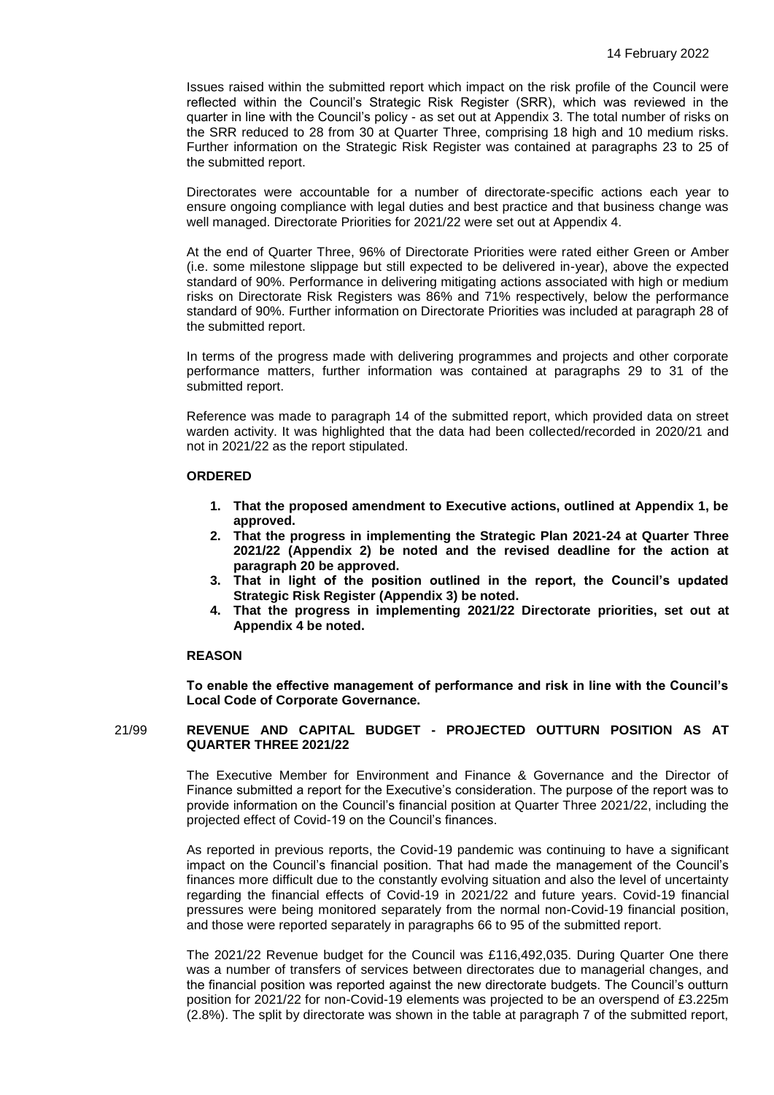Issues raised within the submitted report which impact on the risk profile of the Council were reflected within the Council's Strategic Risk Register (SRR), which was reviewed in the quarter in line with the Council's policy - as set out at Appendix 3. The total number of risks on the SRR reduced to 28 from 30 at Quarter Three, comprising 18 high and 10 medium risks. Further information on the Strategic Risk Register was contained at paragraphs 23 to 25 of the submitted report.

Directorates were accountable for a number of directorate-specific actions each year to ensure ongoing compliance with legal duties and best practice and that business change was well managed. Directorate Priorities for 2021/22 were set out at Appendix 4.

At the end of Quarter Three, 96% of Directorate Priorities were rated either Green or Amber (i.e. some milestone slippage but still expected to be delivered in-year), above the expected standard of 90%. Performance in delivering mitigating actions associated with high or medium risks on Directorate Risk Registers was 86% and 71% respectively, below the performance standard of 90%. Further information on Directorate Priorities was included at paragraph 28 of the submitted report.

In terms of the progress made with delivering programmes and projects and other corporate performance matters, further information was contained at paragraphs 29 to 31 of the submitted report.

Reference was made to paragraph 14 of the submitted report, which provided data on street warden activity. It was highlighted that the data had been collected/recorded in 2020/21 and not in 2021/22 as the report stipulated.

## **ORDERED**

- **1. That the proposed amendment to Executive actions, outlined at Appendix 1, be approved.**
- **2. That the progress in implementing the Strategic Plan 2021-24 at Quarter Three 2021/22 (Appendix 2) be noted and the revised deadline for the action at paragraph 20 be approved.**
- **3. That in light of the position outlined in the report, the Council's updated Strategic Risk Register (Appendix 3) be noted.**
- **4. That the progress in implementing 2021/22 Directorate priorities, set out at Appendix 4 be noted.**

#### **REASON**

**To enable the effective management of performance and risk in line with the Council's Local Code of Corporate Governance.**

## 21/99 **REVENUE AND CAPITAL BUDGET - PROJECTED OUTTURN POSITION AS AT QUARTER THREE 2021/22**

The Executive Member for Environment and Finance & Governance and the Director of Finance submitted a report for the Executive's consideration. The purpose of the report was to provide information on the Council's financial position at Quarter Three 2021/22, including the projected effect of Covid-19 on the Council's finances.

As reported in previous reports, the Covid-19 pandemic was continuing to have a significant impact on the Council's financial position. That had made the management of the Council's finances more difficult due to the constantly evolving situation and also the level of uncertainty regarding the financial effects of Covid-19 in 2021/22 and future years. Covid-19 financial pressures were being monitored separately from the normal non-Covid-19 financial position, and those were reported separately in paragraphs 66 to 95 of the submitted report.

The 2021/22 Revenue budget for the Council was £116,492,035. During Quarter One there was a number of transfers of services between directorates due to managerial changes, and the financial position was reported against the new directorate budgets. The Council's outturn position for 2021/22 for non-Covid-19 elements was projected to be an overspend of £3.225m (2.8%). The split by directorate was shown in the table at paragraph 7 of the submitted report,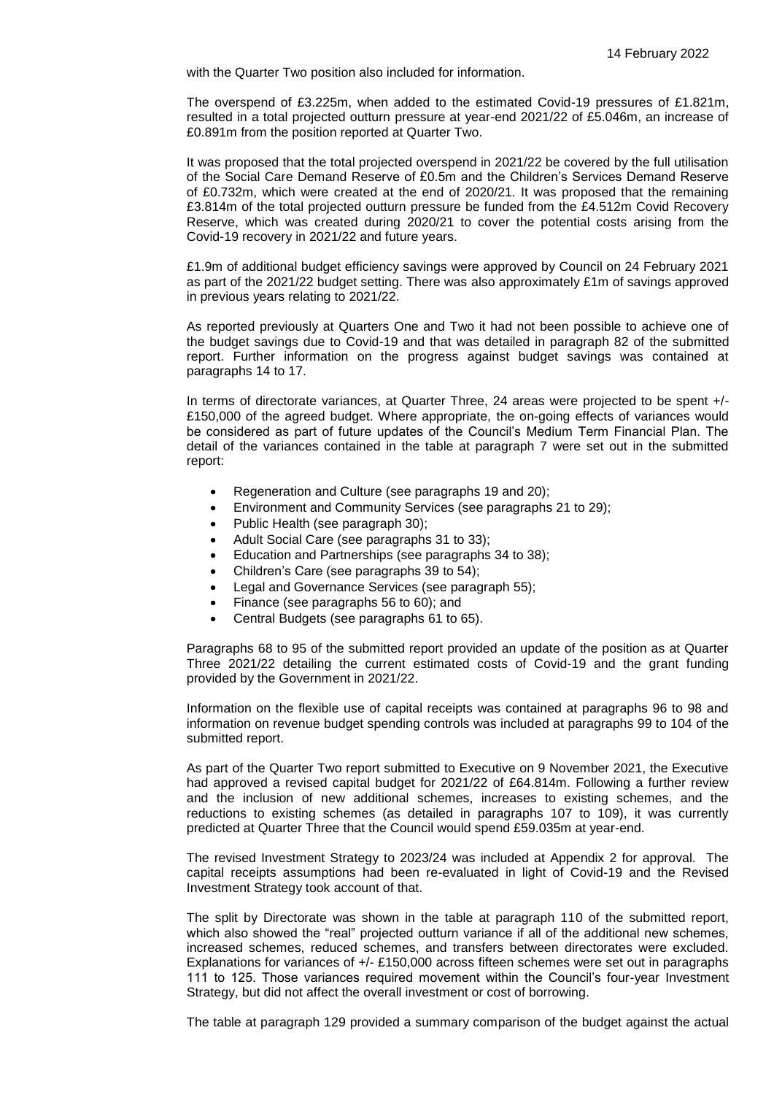with the Quarter Two position also included for information.

The overspend of £3.225m, when added to the estimated Covid-19 pressures of £1.821m, resulted in a total projected outturn pressure at year-end 2021/22 of £5.046m, an increase of £0.891m from the position reported at Quarter Two.

It was proposed that the total projected overspend in 2021/22 be covered by the full utilisation of the Social Care Demand Reserve of £0.5m and the Children's Services Demand Reserve of £0.732m, which were created at the end of 2020/21. It was proposed that the remaining £3.814m of the total projected outturn pressure be funded from the £4.512m Covid Recovery Reserve, which was created during 2020/21 to cover the potential costs arising from the Covid-19 recovery in 2021/22 and future years.

£1.9m of additional budget efficiency savings were approved by Council on 24 February 2021 as part of the 2021/22 budget setting. There was also approximately £1m of savings approved in previous years relating to 2021/22.

As reported previously at Quarters One and Two it had not been possible to achieve one of the budget savings due to Covid-19 and that was detailed in paragraph 82 of the submitted report. Further information on the progress against budget savings was contained at paragraphs 14 to 17.

In terms of directorate variances, at Quarter Three, 24 areas were projected to be spent +/- £150,000 of the agreed budget. Where appropriate, the on-going effects of variances would be considered as part of future updates of the Council's Medium Term Financial Plan. The detail of the variances contained in the table at paragraph 7 were set out in the submitted report:

- Regeneration and Culture (see paragraphs 19 and 20);
- Environment and Community Services (see paragraphs 21 to 29);
- Public Health (see paragraph 30);
- Adult Social Care (see paragraphs 31 to 33);
- Education and Partnerships (see paragraphs 34 to 38);
- Children's Care (see paragraphs 39 to 54);
- Legal and Governance Services (see paragraph 55);
- Finance (see paragraphs 56 to 60); and
- Central Budgets (see paragraphs 61 to 65).

Paragraphs 68 to 95 of the submitted report provided an update of the position as at Quarter Three 2021/22 detailing the current estimated costs of Covid-19 and the grant funding provided by the Government in 2021/22.

Information on the flexible use of capital receipts was contained at paragraphs 96 to 98 and information on revenue budget spending controls was included at paragraphs 99 to 104 of the submitted report.

As part of the Quarter Two report submitted to Executive on 9 November 2021, the Executive had approved a revised capital budget for 2021/22 of £64.814m. Following a further review and the inclusion of new additional schemes, increases to existing schemes, and the reductions to existing schemes (as detailed in paragraphs 107 to 109), it was currently predicted at Quarter Three that the Council would spend £59.035m at year-end.

The revised Investment Strategy to 2023/24 was included at Appendix 2 for approval. The capital receipts assumptions had been re-evaluated in light of Covid-19 and the Revised Investment Strategy took account of that.

The split by Directorate was shown in the table at paragraph 110 of the submitted report, which also showed the "real" projected outturn variance if all of the additional new schemes, increased schemes, reduced schemes, and transfers between directorates were excluded. Explanations for variances of +/- £150,000 across fifteen schemes were set out in paragraphs 111 to 125. Those variances required movement within the Council's four-year Investment Strategy, but did not affect the overall investment or cost of borrowing.

The table at paragraph 129 provided a summary comparison of the budget against the actual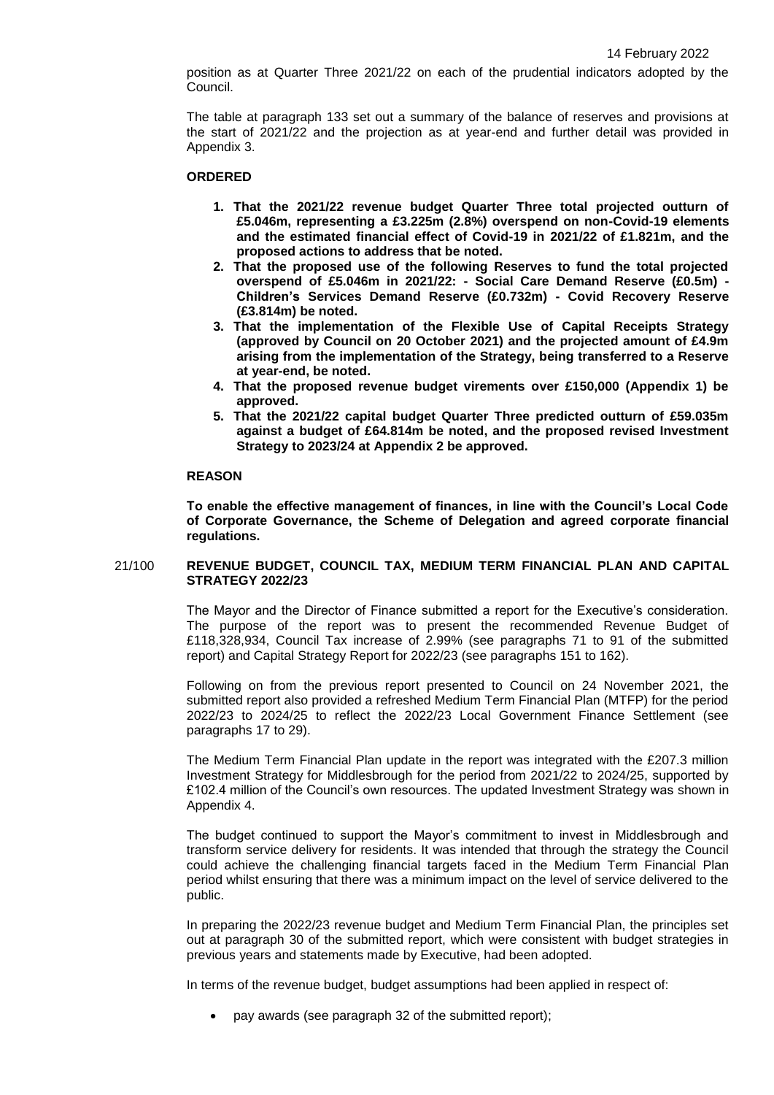position as at Quarter Three 2021/22 on each of the prudential indicators adopted by the Council.

The table at paragraph 133 set out a summary of the balance of reserves and provisions at the start of 2021/22 and the projection as at year-end and further detail was provided in Appendix 3.

#### **ORDERED**

- **1. That the 2021/22 revenue budget Quarter Three total projected outturn of £5.046m, representing a £3.225m (2.8%) overspend on non-Covid-19 elements and the estimated financial effect of Covid-19 in 2021/22 of £1.821m, and the proposed actions to address that be noted.**
- **2. That the proposed use of the following Reserves to fund the total projected overspend of £5.046m in 2021/22: - Social Care Demand Reserve (£0.5m) - Children's Services Demand Reserve (£0.732m) - Covid Recovery Reserve (£3.814m) be noted.**
- **3. That the implementation of the Flexible Use of Capital Receipts Strategy (approved by Council on 20 October 2021) and the projected amount of £4.9m arising from the implementation of the Strategy, being transferred to a Reserve at year-end, be noted.**
- **4. That the proposed revenue budget virements over £150,000 (Appendix 1) be approved.**
- **5. That the 2021/22 capital budget Quarter Three predicted outturn of £59.035m against a budget of £64.814m be noted, and the proposed revised Investment Strategy to 2023/24 at Appendix 2 be approved.**

## **REASON**

**To enable the effective management of finances, in line with the Council's Local Code of Corporate Governance, the Scheme of Delegation and agreed corporate financial regulations.**

## 21/100 **REVENUE BUDGET, COUNCIL TAX, MEDIUM TERM FINANCIAL PLAN AND CAPITAL STRATEGY 2022/23**

The Mayor and the Director of Finance submitted a report for the Executive's consideration. The purpose of the report was to present the recommended Revenue Budget of £118,328,934, Council Tax increase of 2.99% (see paragraphs 71 to 91 of the submitted report) and Capital Strategy Report for 2022/23 (see paragraphs 151 to 162).

Following on from the previous report presented to Council on 24 November 2021, the submitted report also provided a refreshed Medium Term Financial Plan (MTFP) for the period 2022/23 to 2024/25 to reflect the 2022/23 Local Government Finance Settlement (see paragraphs 17 to 29).

The Medium Term Financial Plan update in the report was integrated with the £207.3 million Investment Strategy for Middlesbrough for the period from 2021/22 to 2024/25, supported by £102.4 million of the Council's own resources. The updated Investment Strategy was shown in Appendix 4.

The budget continued to support the Mayor's commitment to invest in Middlesbrough and transform service delivery for residents. It was intended that through the strategy the Council could achieve the challenging financial targets faced in the Medium Term Financial Plan period whilst ensuring that there was a minimum impact on the level of service delivered to the public.

In preparing the 2022/23 revenue budget and Medium Term Financial Plan, the principles set out at paragraph 30 of the submitted report, which were consistent with budget strategies in previous years and statements made by Executive, had been adopted.

In terms of the revenue budget, budget assumptions had been applied in respect of:

pay awards (see paragraph 32 of the submitted report);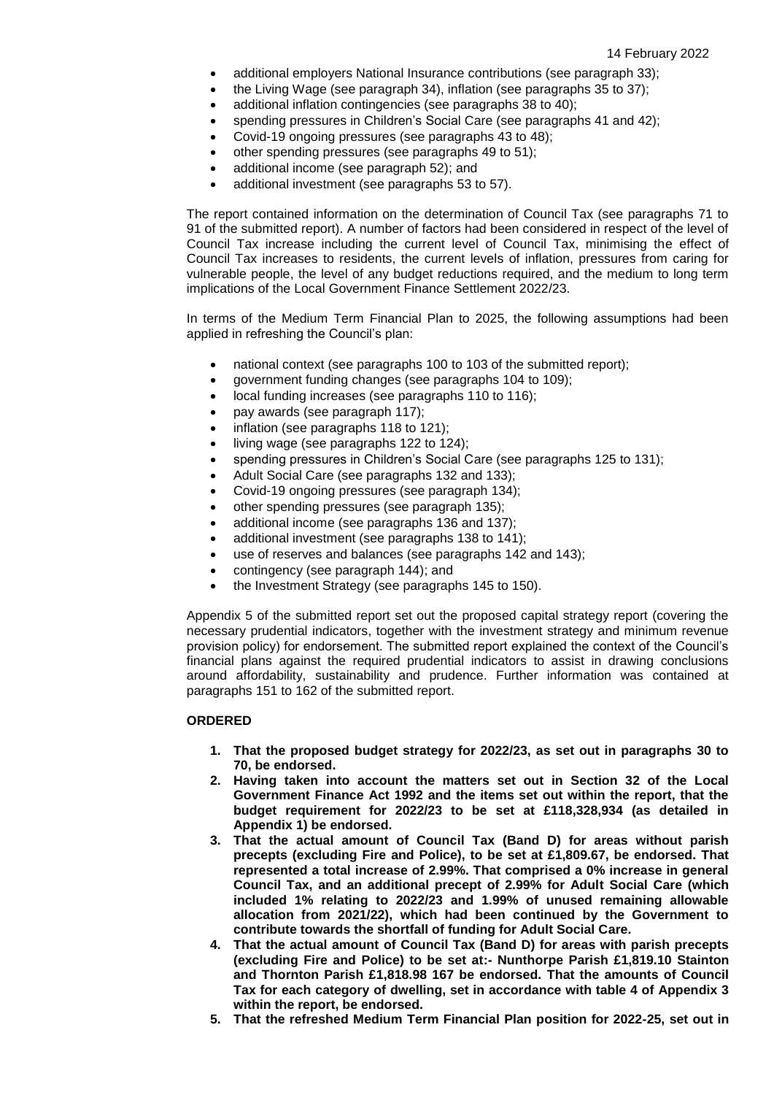- additional employers National Insurance contributions (see paragraph 33);
- the Living Wage (see paragraph 34), inflation (see paragraphs 35 to 37);
- additional inflation contingencies (see paragraphs 38 to 40);
- spending pressures in Children's Social Care (see paragraphs 41 and 42);
- Covid-19 ongoing pressures (see paragraphs 43 to 48);
- other spending pressures (see paragraphs 49 to 51);
- additional income (see paragraph 52); and
- additional investment (see paragraphs 53 to 57).

The report contained information on the determination of Council Tax (see paragraphs 71 to 91 of the submitted report). A number of factors had been considered in respect of the level of Council Tax increase including the current level of Council Tax, minimising the effect of Council Tax increases to residents, the current levels of inflation, pressures from caring for vulnerable people, the level of any budget reductions required, and the medium to long term implications of the Local Government Finance Settlement 2022/23.

In terms of the Medium Term Financial Plan to 2025, the following assumptions had been applied in refreshing the Council's plan:

- national context (see paragraphs 100 to 103 of the submitted report);
- government funding changes (see paragraphs 104 to 109);
- local funding increases (see paragraphs 110 to 116);
- pay awards (see paragraph 117);
- inflation (see paragraphs 118 to 121);
- living wage (see paragraphs 122 to 124);
- spending pressures in Children's Social Care (see paragraphs 125 to 131);
- Adult Social Care (see paragraphs 132 and 133);
- Covid-19 ongoing pressures (see paragraph 134);
- other spending pressures (see paragraph 135);
- additional income (see paragraphs 136 and 137);
- additional investment (see paragraphs 138 to 141);
- use of reserves and balances (see paragraphs 142 and 143);
- contingency (see paragraph 144); and
- the Investment Strategy (see paragraphs 145 to 150).

Appendix 5 of the submitted report set out the proposed capital strategy report (covering the necessary prudential indicators, together with the investment strategy and minimum revenue provision policy) for endorsement. The submitted report explained the context of the Council's financial plans against the required prudential indicators to assist in drawing conclusions around affordability, sustainability and prudence. Further information was contained at paragraphs 151 to 162 of the submitted report.

# **ORDERED**

- **1. That the proposed budget strategy for 2022/23, as set out in paragraphs 30 to 70, be endorsed.**
- **2. Having taken into account the matters set out in Section 32 of the Local Government Finance Act 1992 and the items set out within the report, that the budget requirement for 2022/23 to be set at £118,328,934 (as detailed in Appendix 1) be endorsed.**
- **3. That the actual amount of Council Tax (Band D) for areas without parish precepts (excluding Fire and Police), to be set at £1,809.67, be endorsed. That represented a total increase of 2.99%. That comprised a 0% increase in general Council Tax, and an additional precept of 2.99% for Adult Social Care (which included 1% relating to 2022/23 and 1.99% of unused remaining allowable allocation from 2021/22), which had been continued by the Government to contribute towards the shortfall of funding for Adult Social Care.**
- **4. That the actual amount of Council Tax (Band D) for areas with parish precepts (excluding Fire and Police) to be set at:- Nunthorpe Parish £1,819.10 Stainton and Thornton Parish £1,818.98 167 be endorsed. That the amounts of Council Tax for each category of dwelling, set in accordance with table 4 of Appendix 3 within the report, be endorsed.**
- **5. That the refreshed Medium Term Financial Plan position for 2022-25, set out in**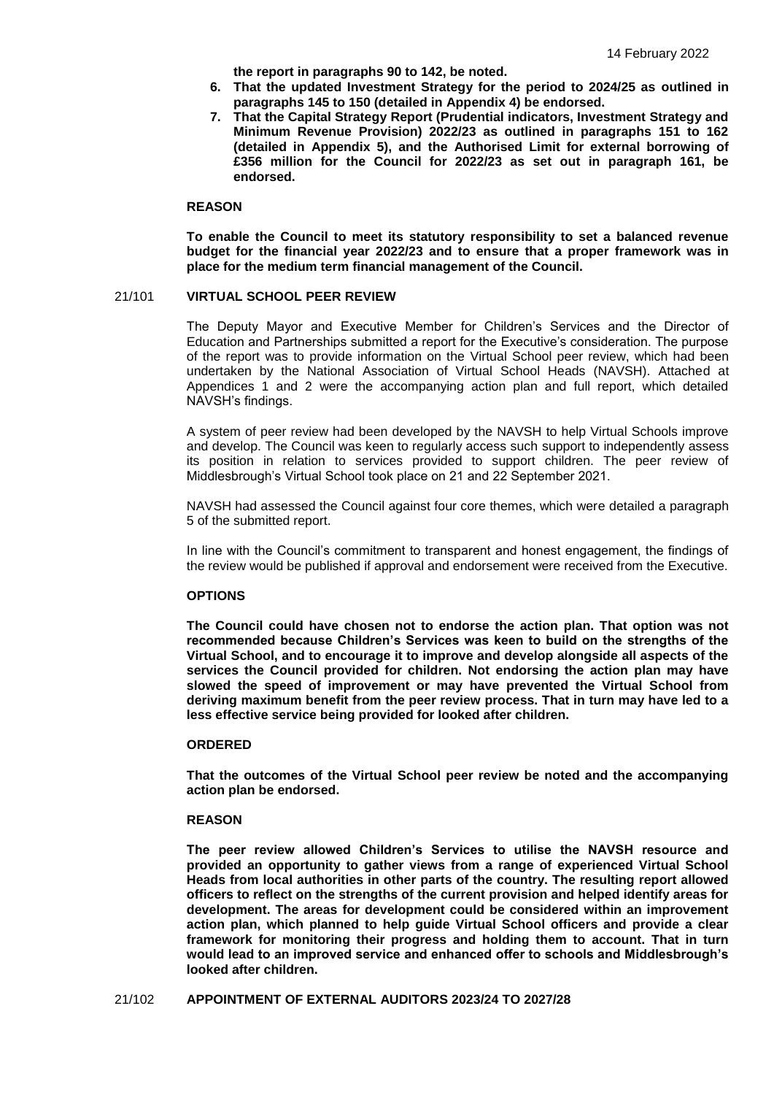**the report in paragraphs 90 to 142, be noted.** 

- **6. That the updated Investment Strategy for the period to 2024/25 as outlined in paragraphs 145 to 150 (detailed in Appendix 4) be endorsed.**
- **7. That the Capital Strategy Report (Prudential indicators, Investment Strategy and Minimum Revenue Provision) 2022/23 as outlined in paragraphs 151 to 162 (detailed in Appendix 5), and the Authorised Limit for external borrowing of £356 million for the Council for 2022/23 as set out in paragraph 161, be endorsed.**

### **REASON**

**To enable the Council to meet its statutory responsibility to set a balanced revenue budget for the financial year 2022/23 and to ensure that a proper framework was in place for the medium term financial management of the Council.**

### 21/101 **VIRTUAL SCHOOL PEER REVIEW**

The Deputy Mayor and Executive Member for Children's Services and the Director of Education and Partnerships submitted a report for the Executive's consideration. The purpose of the report was to provide information on the Virtual School peer review, which had been undertaken by the National Association of Virtual School Heads (NAVSH). Attached at Appendices 1 and 2 were the accompanying action plan and full report, which detailed NAVSH's findings.

A system of peer review had been developed by the NAVSH to help Virtual Schools improve and develop. The Council was keen to regularly access such support to independently assess its position in relation to services provided to support children. The peer review of Middlesbrough's Virtual School took place on 21 and 22 September 2021.

NAVSH had assessed the Council against four core themes, which were detailed a paragraph 5 of the submitted report.

In line with the Council's commitment to transparent and honest engagement, the findings of the review would be published if approval and endorsement were received from the Executive.

## **OPTIONS**

**The Council could have chosen not to endorse the action plan. That option was not recommended because Children's Services was keen to build on the strengths of the Virtual School, and to encourage it to improve and develop alongside all aspects of the services the Council provided for children. Not endorsing the action plan may have slowed the speed of improvement or may have prevented the Virtual School from deriving maximum benefit from the peer review process. That in turn may have led to a less effective service being provided for looked after children.**

#### **ORDERED**

**That the outcomes of the Virtual School peer review be noted and the accompanying action plan be endorsed.**

#### **REASON**

**The peer review allowed Children's Services to utilise the NAVSH resource and provided an opportunity to gather views from a range of experienced Virtual School Heads from local authorities in other parts of the country. The resulting report allowed officers to reflect on the strengths of the current provision and helped identify areas for development. The areas for development could be considered within an improvement action plan, which planned to help guide Virtual School officers and provide a clear framework for monitoring their progress and holding them to account. That in turn would lead to an improved service and enhanced offer to schools and Middlesbrough's looked after children.**

21/102 **APPOINTMENT OF EXTERNAL AUDITORS 2023/24 TO 2027/28**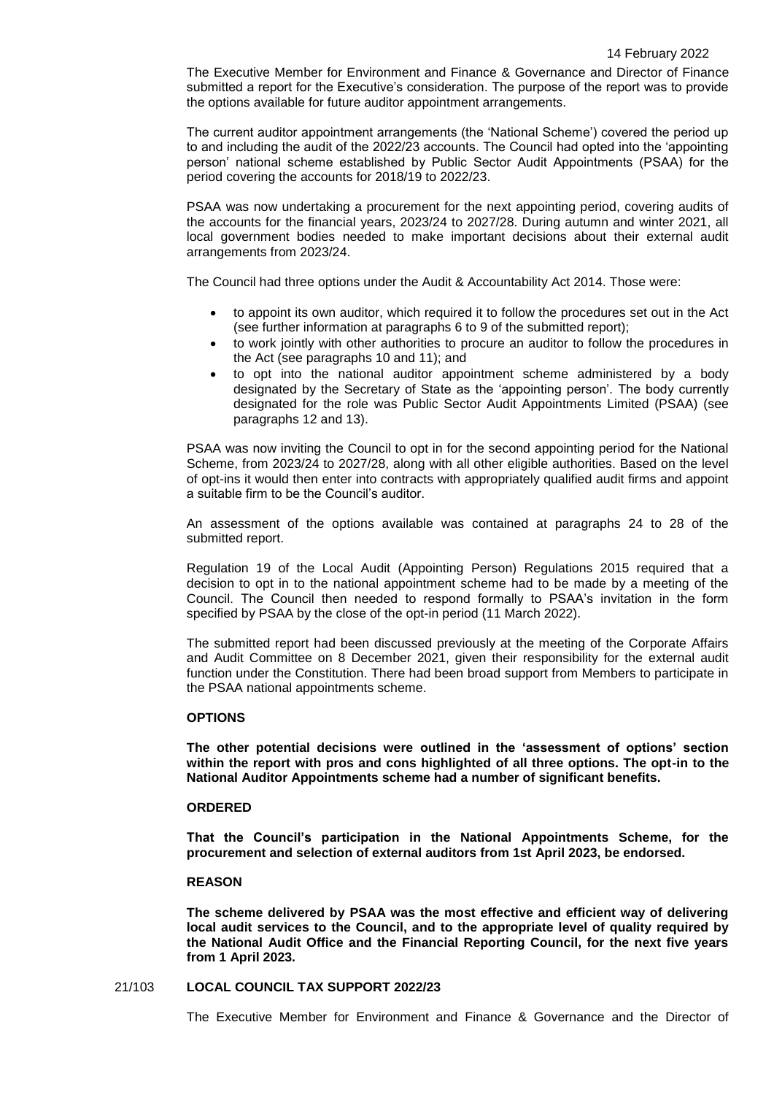The Executive Member for Environment and Finance & Governance and Director of Finance submitted a report for the Executive's consideration. The purpose of the report was to provide the options available for future auditor appointment arrangements.

The current auditor appointment arrangements (the 'National Scheme') covered the period up to and including the audit of the 2022/23 accounts. The Council had opted into the 'appointing person' national scheme established by Public Sector Audit Appointments (PSAA) for the period covering the accounts for 2018/19 to 2022/23.

PSAA was now undertaking a procurement for the next appointing period, covering audits of the accounts for the financial years, 2023/24 to 2027/28. During autumn and winter 2021, all local government bodies needed to make important decisions about their external audit arrangements from 2023/24.

The Council had three options under the Audit & Accountability Act 2014. Those were:

- to appoint its own auditor, which required it to follow the procedures set out in the Act (see further information at paragraphs 6 to 9 of the submitted report);
- to work jointly with other authorities to procure an auditor to follow the procedures in the Act (see paragraphs 10 and 11); and
- to opt into the national auditor appointment scheme administered by a body designated by the Secretary of State as the 'appointing person'. The body currently designated for the role was Public Sector Audit Appointments Limited (PSAA) (see paragraphs 12 and 13).

PSAA was now inviting the Council to opt in for the second appointing period for the National Scheme, from 2023/24 to 2027/28, along with all other eligible authorities. Based on the level of opt-ins it would then enter into contracts with appropriately qualified audit firms and appoint a suitable firm to be the Council's auditor.

An assessment of the options available was contained at paragraphs 24 to 28 of the submitted report.

Regulation 19 of the Local Audit (Appointing Person) Regulations 2015 required that a decision to opt in to the national appointment scheme had to be made by a meeting of the Council. The Council then needed to respond formally to PSAA's invitation in the form specified by PSAA by the close of the opt-in period (11 March 2022).

The submitted report had been discussed previously at the meeting of the Corporate Affairs and Audit Committee on 8 December 2021, given their responsibility for the external audit function under the Constitution. There had been broad support from Members to participate in the PSAA national appointments scheme.

# **OPTIONS**

**The other potential decisions were outlined in the 'assessment of options' section within the report with pros and cons highlighted of all three options. The opt-in to the National Auditor Appointments scheme had a number of significant benefits.**

## **ORDERED**

**That the Council's participation in the National Appointments Scheme, for the procurement and selection of external auditors from 1st April 2023, be endorsed.**

#### **REASON**

**The scheme delivered by PSAA was the most effective and efficient way of delivering local audit services to the Council, and to the appropriate level of quality required by the National Audit Office and the Financial Reporting Council, for the next five years from 1 April 2023.**

## 21/103 **LOCAL COUNCIL TAX SUPPORT 2022/23**

The Executive Member for Environment and Finance & Governance and the Director of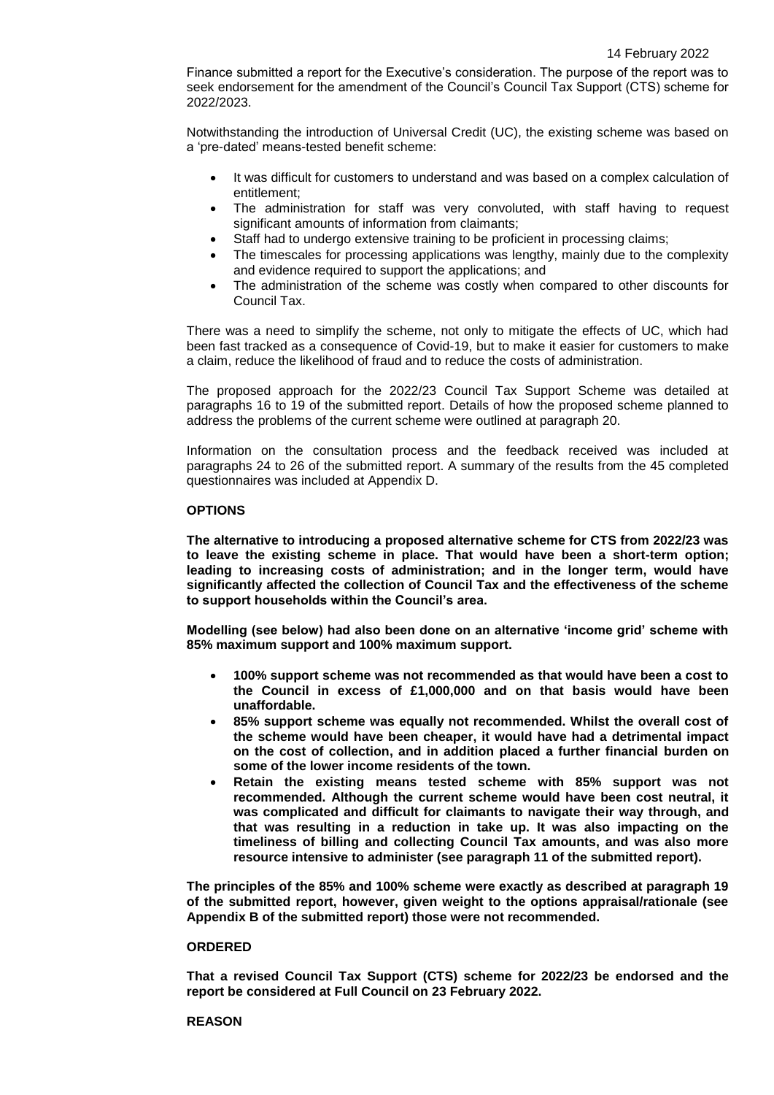Finance submitted a report for the Executive's consideration. The purpose of the report was to seek endorsement for the amendment of the Council's Council Tax Support (CTS) scheme for 2022/2023.

Notwithstanding the introduction of Universal Credit (UC), the existing scheme was based on a 'pre-dated' means-tested benefit scheme:

- It was difficult for customers to understand and was based on a complex calculation of entitlement;
- The administration for staff was very convoluted, with staff having to request significant amounts of information from claimants;
- Staff had to undergo extensive training to be proficient in processing claims;
- The timescales for processing applications was lengthy, mainly due to the complexity and evidence required to support the applications; and
- The administration of the scheme was costly when compared to other discounts for Council Tax.

There was a need to simplify the scheme, not only to mitigate the effects of UC, which had been fast tracked as a consequence of Covid-19, but to make it easier for customers to make a claim, reduce the likelihood of fraud and to reduce the costs of administration.

The proposed approach for the 2022/23 Council Tax Support Scheme was detailed at paragraphs 16 to 19 of the submitted report. Details of how the proposed scheme planned to address the problems of the current scheme were outlined at paragraph 20.

Information on the consultation process and the feedback received was included at paragraphs 24 to 26 of the submitted report. A summary of the results from the 45 completed questionnaires was included at Appendix D.

## **OPTIONS**

**The alternative to introducing a proposed alternative scheme for CTS from 2022/23 was to leave the existing scheme in place. That would have been a short-term option; leading to increasing costs of administration; and in the longer term, would have significantly affected the collection of Council Tax and the effectiveness of the scheme to support households within the Council's area.**

**Modelling (see below) had also been done on an alternative 'income grid' scheme with 85% maximum support and 100% maximum support.**

- **100% support scheme was not recommended as that would have been a cost to the Council in excess of £1,000,000 and on that basis would have been unaffordable.**
- **85% support scheme was equally not recommended. Whilst the overall cost of the scheme would have been cheaper, it would have had a detrimental impact on the cost of collection, and in addition placed a further financial burden on some of the lower income residents of the town.**
- **Retain the existing means tested scheme with 85% support was not recommended. Although the current scheme would have been cost neutral, it was complicated and difficult for claimants to navigate their way through, and that was resulting in a reduction in take up. It was also impacting on the timeliness of billing and collecting Council Tax amounts, and was also more resource intensive to administer (see paragraph 11 of the submitted report).**

**The principles of the 85% and 100% scheme were exactly as described at paragraph 19 of the submitted report, however, given weight to the options appraisal/rationale (see Appendix B of the submitted report) those were not recommended.**

# **ORDERED**

**That a revised Council Tax Support (CTS) scheme for 2022/23 be endorsed and the report be considered at Full Council on 23 February 2022.**

#### **REASON**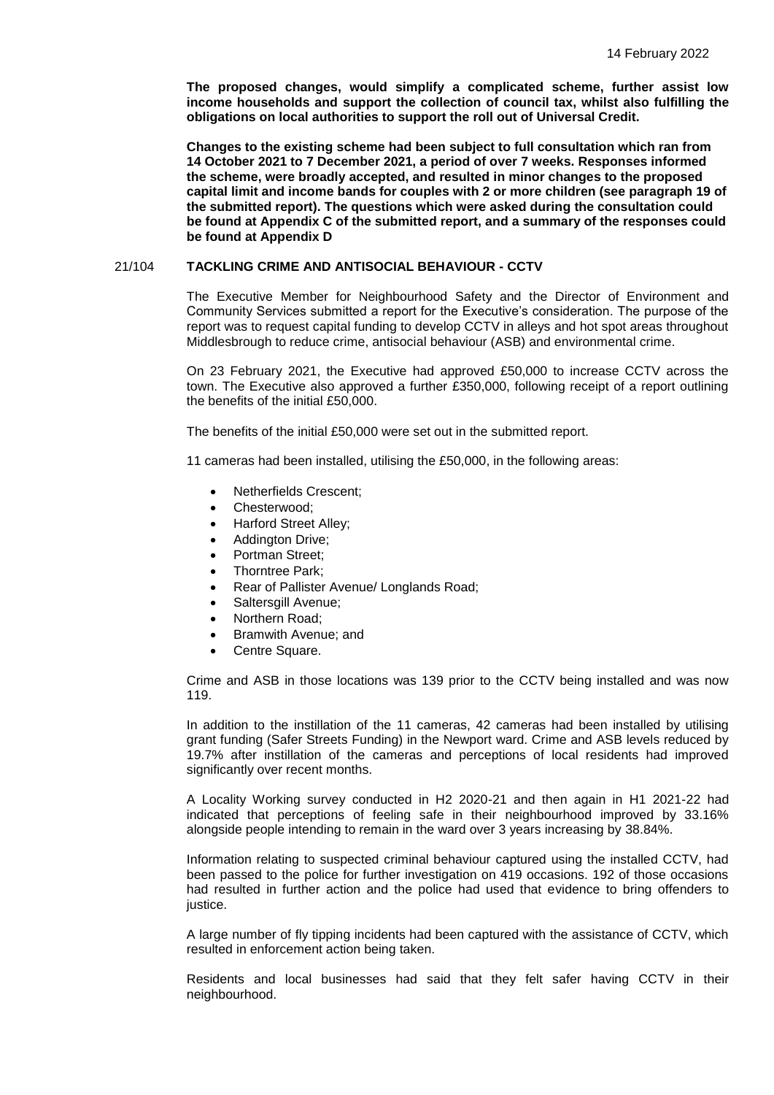**The proposed changes, would simplify a complicated scheme, further assist low income households and support the collection of council tax, whilst also fulfilling the obligations on local authorities to support the roll out of Universal Credit.** 

**Changes to the existing scheme had been subject to full consultation which ran from 14 October 2021 to 7 December 2021, a period of over 7 weeks. Responses informed the scheme, were broadly accepted, and resulted in minor changes to the proposed capital limit and income bands for couples with 2 or more children (see paragraph 19 of the submitted report). The questions which were asked during the consultation could be found at Appendix C of the submitted report, and a summary of the responses could be found at Appendix D**

### 21/104 **TACKLING CRIME AND ANTISOCIAL BEHAVIOUR - CCTV**

The Executive Member for Neighbourhood Safety and the Director of Environment and Community Services submitted a report for the Executive's consideration. The purpose of the report was to request capital funding to develop CCTV in alleys and hot spot areas throughout Middlesbrough to reduce crime, antisocial behaviour (ASB) and environmental crime.

On 23 February 2021, the Executive had approved £50,000 to increase CCTV across the town. The Executive also approved a further £350,000, following receipt of a report outlining the benefits of the initial £50,000.

The benefits of the initial £50,000 were set out in the submitted report.

11 cameras had been installed, utilising the £50,000, in the following areas:

- Netherfields Crescent;
- Chesterwood;
- Harford Street Alley;
- Addington Drive;
- Portman Street;
- Thorntree Park;
- Rear of Pallister Avenue/ Longlands Road;
- Saltersgill Avenue;
- Northern Road;
- Bramwith Avenue; and
- Centre Square.

Crime and ASB in those locations was 139 prior to the CCTV being installed and was now 119.

In addition to the instillation of the 11 cameras, 42 cameras had been installed by utilising grant funding (Safer Streets Funding) in the Newport ward. Crime and ASB levels reduced by 19.7% after instillation of the cameras and perceptions of local residents had improved significantly over recent months.

A Locality Working survey conducted in H2 2020-21 and then again in H1 2021-22 had indicated that perceptions of feeling safe in their neighbourhood improved by 33.16% alongside people intending to remain in the ward over 3 years increasing by 38.84%.

Information relating to suspected criminal behaviour captured using the installed CCTV, had been passed to the police for further investigation on 419 occasions. 192 of those occasions had resulted in further action and the police had used that evidence to bring offenders to justice.

A large number of fly tipping incidents had been captured with the assistance of CCTV, which resulted in enforcement action being taken.

Residents and local businesses had said that they felt safer having CCTV in their neighbourhood.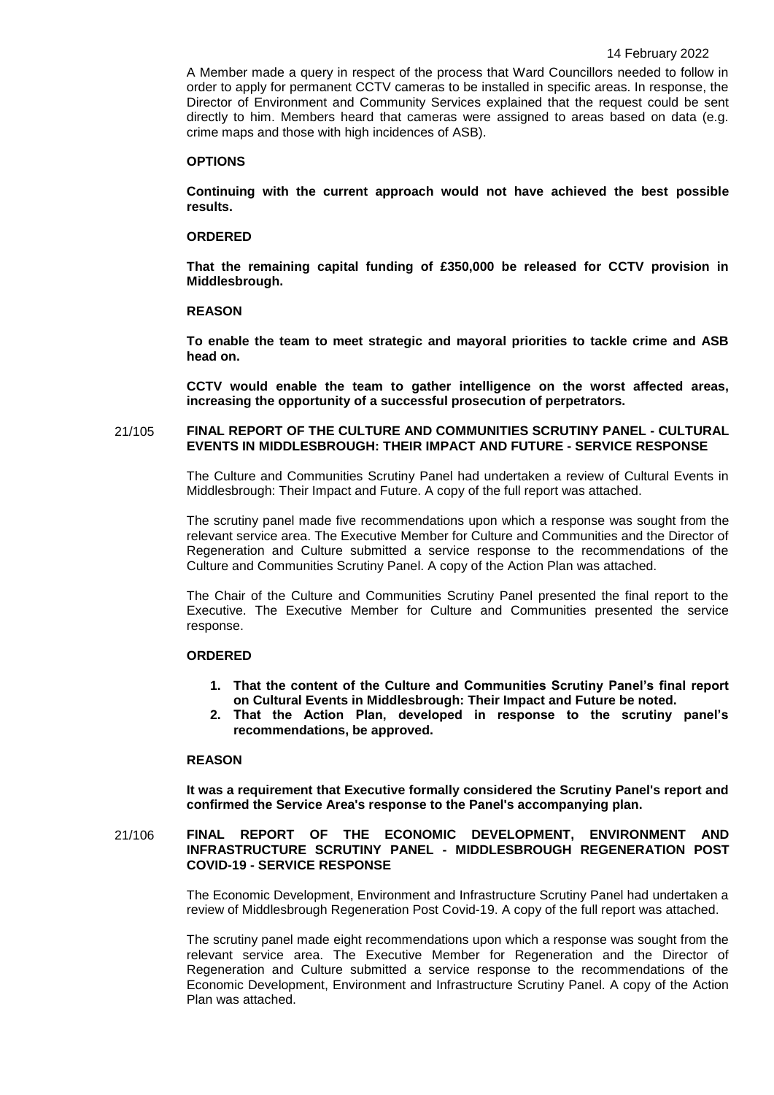A Member made a query in respect of the process that Ward Councillors needed to follow in order to apply for permanent CCTV cameras to be installed in specific areas. In response, the Director of Environment and Community Services explained that the request could be sent directly to him. Members heard that cameras were assigned to areas based on data (e.g. crime maps and those with high incidences of ASB).

#### **OPTIONS**

**Continuing with the current approach would not have achieved the best possible results.**

## **ORDERED**

**That the remaining capital funding of £350,000 be released for CCTV provision in Middlesbrough.** 

#### **REASON**

**To enable the team to meet strategic and mayoral priorities to tackle crime and ASB head on.**

**CCTV would enable the team to gather intelligence on the worst affected areas, increasing the opportunity of a successful prosecution of perpetrators.**

### 21/105 **FINAL REPORT OF THE CULTURE AND COMMUNITIES SCRUTINY PANEL - CULTURAL EVENTS IN MIDDLESBROUGH: THEIR IMPACT AND FUTURE - SERVICE RESPONSE**

The Culture and Communities Scrutiny Panel had undertaken a review of Cultural Events in Middlesbrough: Their Impact and Future. A copy of the full report was attached.

The scrutiny panel made five recommendations upon which a response was sought from the relevant service area. The Executive Member for Culture and Communities and the Director of Regeneration and Culture submitted a service response to the recommendations of the Culture and Communities Scrutiny Panel. A copy of the Action Plan was attached.

The Chair of the Culture and Communities Scrutiny Panel presented the final report to the Executive. The Executive Member for Culture and Communities presented the service response.

#### **ORDERED**

- **1. That the content of the Culture and Communities Scrutiny Panel's final report on Cultural Events in Middlesbrough: Their Impact and Future be noted.**
- **2. That the Action Plan, developed in response to the scrutiny panel's recommendations, be approved.**

# **REASON**

**It was a requirement that Executive formally considered the Scrutiny Panel's report and confirmed the Service Area's response to the Panel's accompanying plan.**

## 21/106 **FINAL REPORT OF THE ECONOMIC DEVELOPMENT, ENVIRONMENT AND INFRASTRUCTURE SCRUTINY PANEL - MIDDLESBROUGH REGENERATION POST COVID-19 - SERVICE RESPONSE**

The Economic Development, Environment and Infrastructure Scrutiny Panel had undertaken a review of Middlesbrough Regeneration Post Covid-19. A copy of the full report was attached.

The scrutiny panel made eight recommendations upon which a response was sought from the relevant service area. The Executive Member for Regeneration and the Director of Regeneration and Culture submitted a service response to the recommendations of the Economic Development, Environment and Infrastructure Scrutiny Panel. A copy of the Action Plan was attached.